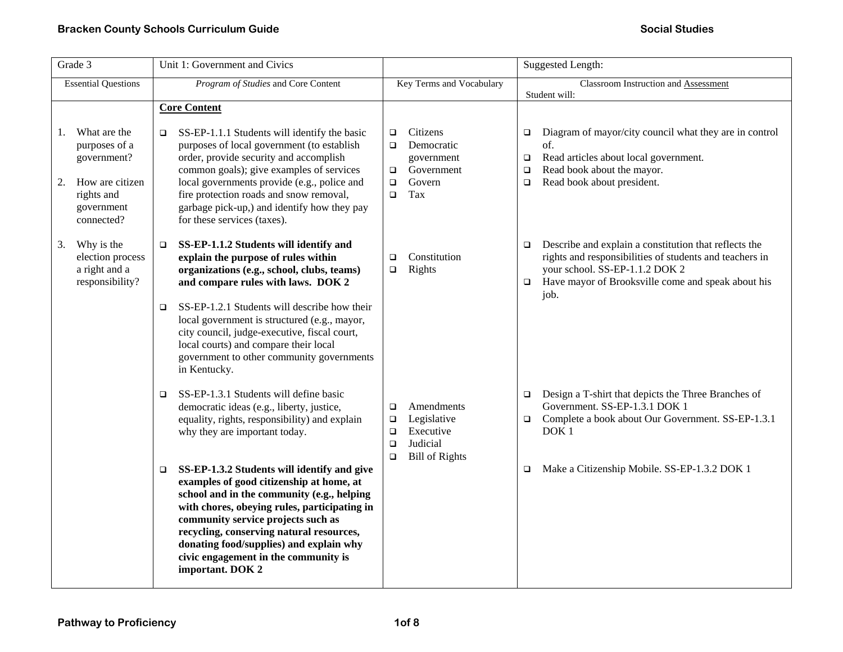| Grade 3                                                                                                               | Unit 1: Government and Civics                                                                                                                                                                                                                                                                                                                                                            | Suggested Length:                                                                                                             |                                                                                                                                                                                                                                      |
|-----------------------------------------------------------------------------------------------------------------------|------------------------------------------------------------------------------------------------------------------------------------------------------------------------------------------------------------------------------------------------------------------------------------------------------------------------------------------------------------------------------------------|-------------------------------------------------------------------------------------------------------------------------------|--------------------------------------------------------------------------------------------------------------------------------------------------------------------------------------------------------------------------------------|
| <b>Essential Questions</b>                                                                                            | Program of Studies and Core Content                                                                                                                                                                                                                                                                                                                                                      | Key Terms and Vocabulary                                                                                                      | Classroom Instruction and Assessment<br>Student will:                                                                                                                                                                                |
|                                                                                                                       | <b>Core Content</b>                                                                                                                                                                                                                                                                                                                                                                      |                                                                                                                               |                                                                                                                                                                                                                                      |
| What are the<br>1.<br>purposes of a<br>government?<br>How are citizen<br>2.<br>rights and<br>government<br>connected? | SS-EP-1.1.1 Students will identify the basic<br>$\Box$<br>purposes of local government (to establish<br>order, provide security and accomplish<br>common goals); give examples of services<br>local governments provide (e.g., police and<br>fire protection roads and snow removal,<br>garbage pick-up,) and identify how they pay<br>for these services (taxes).                       | Citizens<br>$\Box$<br>Democratic<br>$\Box$<br>government<br>Government<br>$\Box$<br>Govern<br>$\Box$<br>Tax<br>$\Box$         | Diagram of mayor/city council what they are in control<br>$\Box$<br>of.<br>Read articles about local government.<br>$\Box$<br>Read book about the mayor.<br>$\Box$<br>Read book about president.<br>$\Box$                           |
| Why is the<br>3.<br>election process<br>a right and a<br>responsibility?                                              | SS-EP-1.1.2 Students will identify and<br>$\Box$<br>explain the purpose of rules within<br>organizations (e.g., school, clubs, teams)<br>and compare rules with laws. DOK 2                                                                                                                                                                                                              | Constitution<br>$\Box$<br>Rights<br>$\Box$                                                                                    | Describe and explain a constitution that reflects the<br>$\Box$<br>rights and responsibilities of students and teachers in<br>your school. SS-EP-1.1.2 DOK 2<br>Have mayor of Brooksville come and speak about his<br>$\Box$<br>job. |
|                                                                                                                       | SS-EP-1.2.1 Students will describe how their<br>$\Box$<br>local government is structured (e.g., mayor,<br>city council, judge-executive, fiscal court,<br>local courts) and compare their local<br>government to other community governments<br>in Kentucky.                                                                                                                             |                                                                                                                               |                                                                                                                                                                                                                                      |
|                                                                                                                       | SS-EP-1.3.1 Students will define basic<br>$\Box$<br>democratic ideas (e.g., liberty, justice,<br>equality, rights, responsibility) and explain<br>why they are important today.                                                                                                                                                                                                          | Amendments<br>$\Box$<br>Legislative<br>$\Box$<br>Executive<br>$\Box$<br>Judicial<br>$\Box$<br><b>Bill of Rights</b><br>$\Box$ | Design a T-shirt that depicts the Three Branches of<br>$\Box$<br>Government. SS-EP-1.3.1 DOK 1<br>Complete a book about Our Government. SS-EP-1.3.1<br>$\Box$<br>DOK <sub>1</sub>                                                    |
|                                                                                                                       | SS-EP-1.3.2 Students will identify and give<br>$\Box$<br>examples of good citizenship at home, at<br>school and in the community (e.g., helping<br>with chores, obeying rules, participating in<br>community service projects such as<br>recycling, conserving natural resources,<br>donating food/supplies) and explain why<br>civic engagement in the community is<br>important. DOK 2 |                                                                                                                               | Make a Citizenship Mobile. SS-EP-1.3.2 DOK 1<br>$\Box$                                                                                                                                                                               |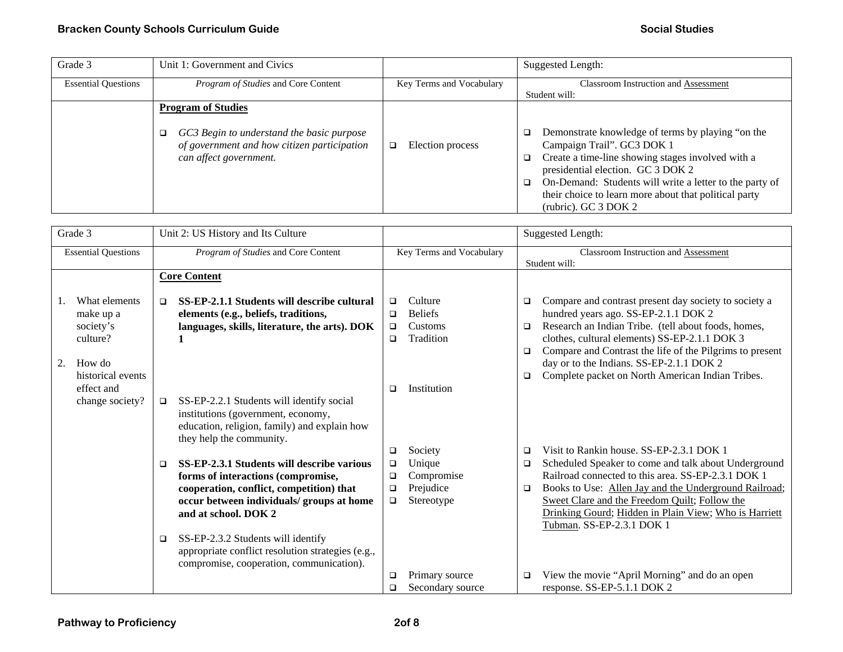| Grade 3                    | Unit 1: Government and Civics                                                                                                                   |                          | <b>Suggested Length:</b>                                                                                                                                                                                                                                                                                                               |
|----------------------------|-------------------------------------------------------------------------------------------------------------------------------------------------|--------------------------|----------------------------------------------------------------------------------------------------------------------------------------------------------------------------------------------------------------------------------------------------------------------------------------------------------------------------------------|
| <b>Essential Questions</b> | Program of Studies and Core Content                                                                                                             | Key Terms and Vocabulary | <b>Classroom Instruction and Assessment</b><br>Student will:                                                                                                                                                                                                                                                                           |
|                            | <b>Program of Studies</b><br>GC3 Begin to understand the basic purpose<br>of government and how citizen participation<br>can affect government. | Election process<br>❏    | Demonstrate knowledge of terms by playing "on the<br>o.<br>Campaign Trail". GC3 DOK 1<br>Create a time-line showing stages involved with a<br>O.<br>presidential election. GC 3 DOK 2<br>On-Demand: Students will write a letter to the party of<br>□<br>their choice to learn more about that political party<br>(rubric). GC 3 DOK 2 |

| Grade 3                                                                                                                   | Unit 2: US History and Its Culture                                                                                                                                                                                                                                                                                                                 |                                                                                                               | <b>Suggested Length:</b>                                                                                                                                                                                                                                                                                                                                                                        |
|---------------------------------------------------------------------------------------------------------------------------|----------------------------------------------------------------------------------------------------------------------------------------------------------------------------------------------------------------------------------------------------------------------------------------------------------------------------------------------------|---------------------------------------------------------------------------------------------------------------|-------------------------------------------------------------------------------------------------------------------------------------------------------------------------------------------------------------------------------------------------------------------------------------------------------------------------------------------------------------------------------------------------|
| <b>Essential Questions</b>                                                                                                | Program of Studies and Core Content                                                                                                                                                                                                                                                                                                                | Key Terms and Vocabulary                                                                                      | Classroom Instruction and Assessment<br>Student will:                                                                                                                                                                                                                                                                                                                                           |
|                                                                                                                           | <b>Core Content</b>                                                                                                                                                                                                                                                                                                                                |                                                                                                               |                                                                                                                                                                                                                                                                                                                                                                                                 |
| What elements<br>make up a<br>society's<br>culture?<br>2.<br>How do<br>historical events<br>effect and<br>change society? | SS-EP-2.1.1 Students will describe cultural<br>$\Box$<br>elements (e.g., beliefs, traditions,<br>languages, skills, literature, the arts). DOK<br>SS-EP-2.2.1 Students will identify social<br>$\Box$<br>institutions (government, economy,                                                                                                        | Culture<br>$\Box$<br><b>Beliefs</b><br>$\Box$<br>Customs<br>$\Box$<br>Tradition<br>$\Box$<br>Institution<br>▫ | Compare and contrast present day society to society a<br>□<br>hundred years ago. SS-EP-2.1.1 DOK 2<br>Research an Indian Tribe. (tell about foods, homes,<br>$\Box$<br>clothes, cultural elements) SS-EP-2.1.1 DOK 3<br>Compare and Contrast the life of the Pilgrims to present<br>$\Box$<br>day or to the Indians. SS-EP-2.1.1 DOK 2<br>Complete packet on North American Indian Tribes.<br>□ |
|                                                                                                                           | education, religion, family) and explain how<br>they help the community.                                                                                                                                                                                                                                                                           |                                                                                                               |                                                                                                                                                                                                                                                                                                                                                                                                 |
|                                                                                                                           | SS-EP-2.3.1 Students will describe various<br>□<br>forms of interactions (compromise,<br>cooperation, conflict, competition) that<br>occur between individuals/ groups at home<br>and at school. DOK 2<br>SS-EP-2.3.2 Students will identify<br>❏<br>appropriate conflict resolution strategies (e.g.,<br>compromise, cooperation, communication). | Society<br>□<br>Unique<br>$\Box$<br>Compromise<br>$\Box$<br>Prejudice<br>$\Box$<br>Stereotype<br>$\Box$       | Visit to Rankin house. SS-EP-2.3.1 DOK 1<br>□<br>Scheduled Speaker to come and talk about Underground<br>□<br>Railroad connected to this area. SS-EP-2.3.1 DOK 1<br>Books to Use: Allen Jay and the Underground Railroad;<br>□<br>Sweet Clare and the Freedom Quilt; Follow the<br>Drinking Gourd; Hidden in Plain View; Who is Harriett<br>Tubman. SS-EP-2.3.1 DOK 1                           |
|                                                                                                                           |                                                                                                                                                                                                                                                                                                                                                    | Primary source<br>□<br>Secondary source<br>$\Box$                                                             | View the movie "April Morning" and do an open<br>□<br>response. SS-EP-5.1.1 DOK 2                                                                                                                                                                                                                                                                                                               |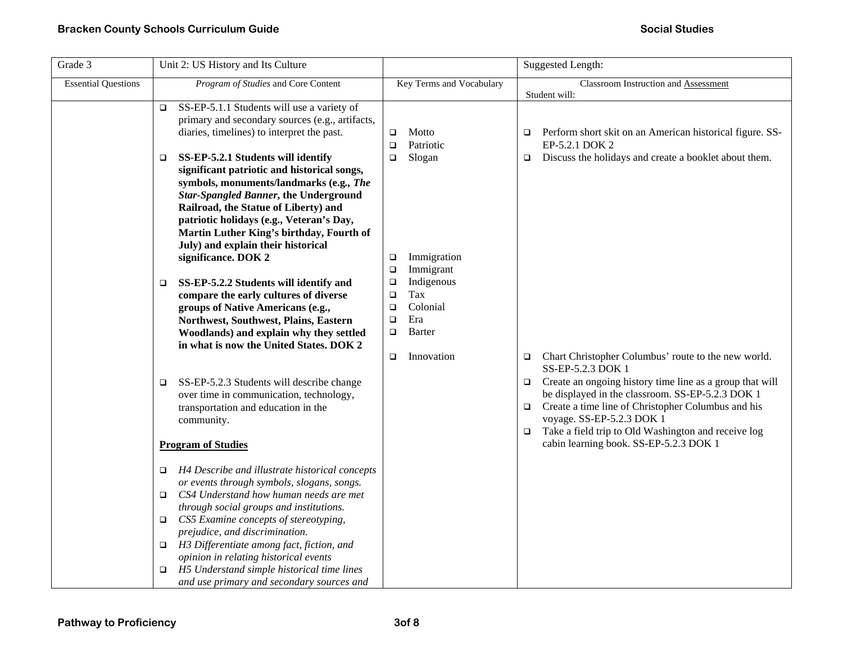| Grade 3                    | Unit 2: US History and Its Culture                                                                                                                                                                                                                                                                                                                                                                                                                                          |                                                                                                                     | Suggested Length:                                                                                                                                                                                                                                                                                                                                   |
|----------------------------|-----------------------------------------------------------------------------------------------------------------------------------------------------------------------------------------------------------------------------------------------------------------------------------------------------------------------------------------------------------------------------------------------------------------------------------------------------------------------------|---------------------------------------------------------------------------------------------------------------------|-----------------------------------------------------------------------------------------------------------------------------------------------------------------------------------------------------------------------------------------------------------------------------------------------------------------------------------------------------|
| <b>Essential Questions</b> | Program of Studies and Core Content                                                                                                                                                                                                                                                                                                                                                                                                                                         | Key Terms and Vocabulary                                                                                            | Classroom Instruction and Assessment<br>Student will:                                                                                                                                                                                                                                                                                               |
|                            | SS-EP-5.1.1 Students will use a variety of<br>$\Box$<br>primary and secondary sources (e.g., artifacts,<br>diaries, timelines) to interpret the past.                                                                                                                                                                                                                                                                                                                       | Motto<br>$\Box$<br>Patriotic<br>$\Box$                                                                              | Perform short skit on an American historical figure. SS-<br>$\Box$<br>EP-5.2.1 DOK 2                                                                                                                                                                                                                                                                |
|                            | SS-EP-5.2.1 Students will identify<br>$\Box$<br>significant patriotic and historical songs,<br>symbols, monuments/landmarks (e.g., The<br><b>Star-Spangled Banner, the Underground</b><br>Railroad, the Statue of Liberty) and<br>patriotic holidays (e.g., Veteran's Day,<br>Martin Luther King's birthday, Fourth of<br>July) and explain their historical<br>significance. DOK 2                                                                                         | Slogan<br>$\Box$<br>Immigration<br>□<br>Immigrant<br>$\Box$                                                         | Discuss the holidays and create a booklet about them.<br>$\Box$                                                                                                                                                                                                                                                                                     |
|                            | SS-EP-5.2.2 Students will identify and<br>□<br>compare the early cultures of diverse<br>groups of Native Americans (e.g.,<br>Northwest, Southwest, Plains, Eastern<br>Woodlands) and explain why they settled<br>in what is now the United States. DOK 2                                                                                                                                                                                                                    | Indigenous<br>$\Box$<br>Tax<br>$\Box$<br>Colonial<br>$\Box$<br>Era<br>$\Box$<br>Barter<br>$\Box$<br>Innovation<br>□ | Chart Christopher Columbus' route to the new world.<br>$\Box$                                                                                                                                                                                                                                                                                       |
|                            | SS-EP-5.2.3 Students will describe change<br>□<br>over time in communication, technology,<br>transportation and education in the<br>community.<br><b>Program of Studies</b>                                                                                                                                                                                                                                                                                                 |                                                                                                                     | SS-EP-5.2.3 DOK 1<br>Create an ongoing history time line as a group that will<br>$\Box$<br>be displayed in the classroom. SS-EP-5.2.3 DOK 1<br>Create a time line of Christopher Columbus and his<br>$\Box$<br>voyage. SS-EP-5.2.3 DOK 1<br>Take a field trip to Old Washington and receive log<br>$\Box$<br>cabin learning book. SS-EP-5.2.3 DOK 1 |
|                            | H4 Describe and illustrate historical concepts<br>o.<br>or events through symbols, slogans, songs.<br>CS4 Understand how human needs are met<br>▫<br>through social groups and institutions.<br>CS5 Examine concepts of stereotyping,<br>o.<br>prejudice, and discrimination.<br>$\Box$ H3 Differentiate among fact, fiction, and<br>opinion in relating historical events<br>H5 Understand simple historical time lines<br>o.<br>and use primary and secondary sources and |                                                                                                                     |                                                                                                                                                                                                                                                                                                                                                     |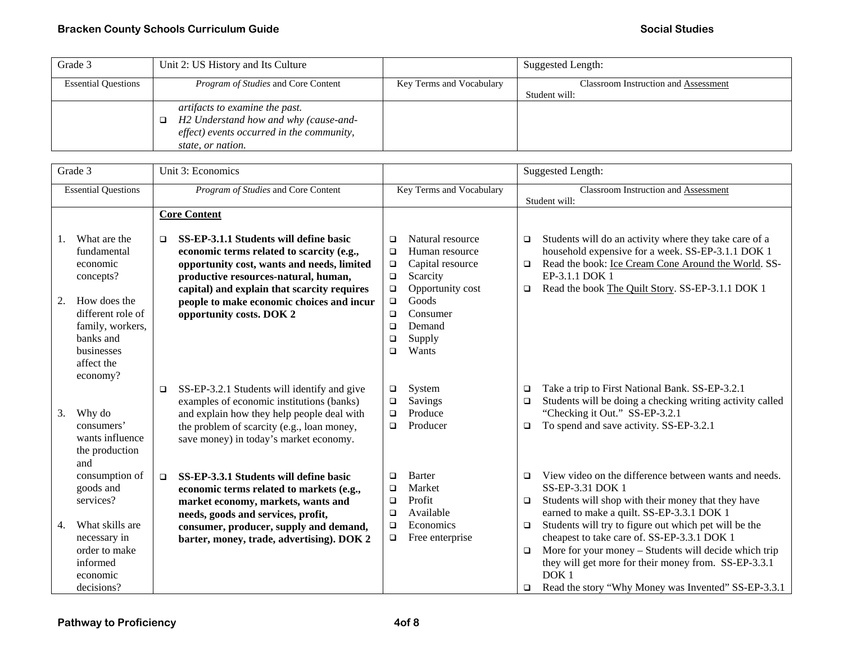| Grade 3                    | Unit 2: US History and Its Culture         |                          | Suggested Length:                    |
|----------------------------|--------------------------------------------|--------------------------|--------------------------------------|
| <b>Essential Questions</b> | <i>Program of Studies</i> and Core Content | Key Terms and Vocabulary | Classroom Instruction and Assessment |
|                            |                                            |                          | Student will:                        |
|                            | artifacts to examine the past.             |                          |                                      |
|                            | H2 Understand how and why (cause-and-      |                          |                                      |
|                            | effect) events occurred in the community,  |                          |                                      |
|                            | state, or nation.                          |                          |                                      |

|    | Grade 3                                                                                                    |        | Unit 3: Economics                                                                                                                                                                                                              | Suggested Length:                              |                                                                                        |                            |                                                                                                                                                                                                                                                                                                  |
|----|------------------------------------------------------------------------------------------------------------|--------|--------------------------------------------------------------------------------------------------------------------------------------------------------------------------------------------------------------------------------|------------------------------------------------|----------------------------------------------------------------------------------------|----------------------------|--------------------------------------------------------------------------------------------------------------------------------------------------------------------------------------------------------------------------------------------------------------------------------------------------|
|    | <b>Essential Questions</b>                                                                                 |        | Program of Studies and Core Content                                                                                                                                                                                            | Key Terms and Vocabulary                       |                                                                                        |                            | Classroom Instruction and Assessment<br>Student will:                                                                                                                                                                                                                                            |
|    |                                                                                                            |        | <b>Core Content</b>                                                                                                                                                                                                            |                                                |                                                                                        |                            |                                                                                                                                                                                                                                                                                                  |
|    | What are the<br>fundamental<br>economic<br>concepts?                                                       | ▫      | SS-EP-3.1.1 Students will define basic<br>economic terms related to scarcity (e.g.,<br>opportunity cost, wants and needs, limited<br>productive resources-natural, human,<br>capital) and explain that scarcity requires       | $\Box$<br>$\Box$<br>$\Box$<br>$\Box$<br>$\Box$ | Natural resource<br>Human resource<br>Capital resource<br>Scarcity<br>Opportunity cost | $\Box$<br>$\Box$<br>$\Box$ | Students will do an activity where they take care of a<br>household expensive for a week. SS-EP-3.1.1 DOK 1<br>Read the book: Ice Cream Cone Around the World. SS-<br>EP-3.1.1 DOK 1<br>Read the book The Quilt Story. SS-EP-3.1.1 DOK 1                                                         |
| 2. | How does the<br>different role of<br>family, workers,<br>banks and<br>businesses<br>affect the<br>economy? |        | people to make economic choices and incur<br>opportunity costs. DOK 2                                                                                                                                                          | $\Box$<br>$\Box$<br>$\Box$<br>$\Box$<br>$\Box$ | Goods<br>Consumer<br>Demand<br>Supply<br>Wants                                         |                            |                                                                                                                                                                                                                                                                                                  |
| 3. | Why do<br>consumers'<br>wants influence<br>the production<br>and                                           | $\Box$ | SS-EP-3.2.1 Students will identify and give<br>examples of economic institutions (banks)<br>and explain how they help people deal with<br>the problem of scarcity (e.g., loan money,<br>save money) in today's market economy. | $\Box$<br>$\Box$<br>$\Box$<br>$\Box$           | System<br>Savings<br>Produce<br>Producer                                               | $\Box$<br>$\Box$<br>$\Box$ | Take a trip to First National Bank. SS-EP-3.2.1<br>Students will be doing a checking writing activity called<br>"Checking it Out." SS-EP-3.2.1<br>To spend and save activity. SS-EP-3.2.1                                                                                                        |
|    | consumption of<br>goods and<br>services?                                                                   | $\Box$ | SS-EP-3.3.1 Students will define basic<br>economic terms related to markets (e.g.,<br>market economy, markets, wants and<br>needs, goods and services, profit,                                                                 | $\Box$<br>□<br>□<br>$\Box$                     | <b>Barter</b><br>Market<br>Profit<br>Available                                         | $\Box$<br>$\Box$           | View video on the difference between wants and needs.<br>SS-EP-3.31 DOK 1<br>Students will shop with their money that they have<br>earned to make a quilt. SS-EP-3.3.1 DOK 1                                                                                                                     |
| 4. | What skills are<br>necessary in<br>order to make<br>informed<br>economic<br>decisions?                     |        | consumer, producer, supply and demand,<br>barter, money, trade, advertising). DOK 2                                                                                                                                            | $\Box$<br>$\Box$                               | Economics<br>Free enterprise                                                           | $\Box$<br>$\Box$<br>□      | Students will try to figure out which pet will be the<br>cheapest to take care of. SS-EP-3.3.1 DOK 1<br>More for your money - Students will decide which trip<br>they will get more for their money from. SS-EP-3.3.1<br>DOK <sub>1</sub><br>Read the story "Why Money was Invented" SS-EP-3.3.1 |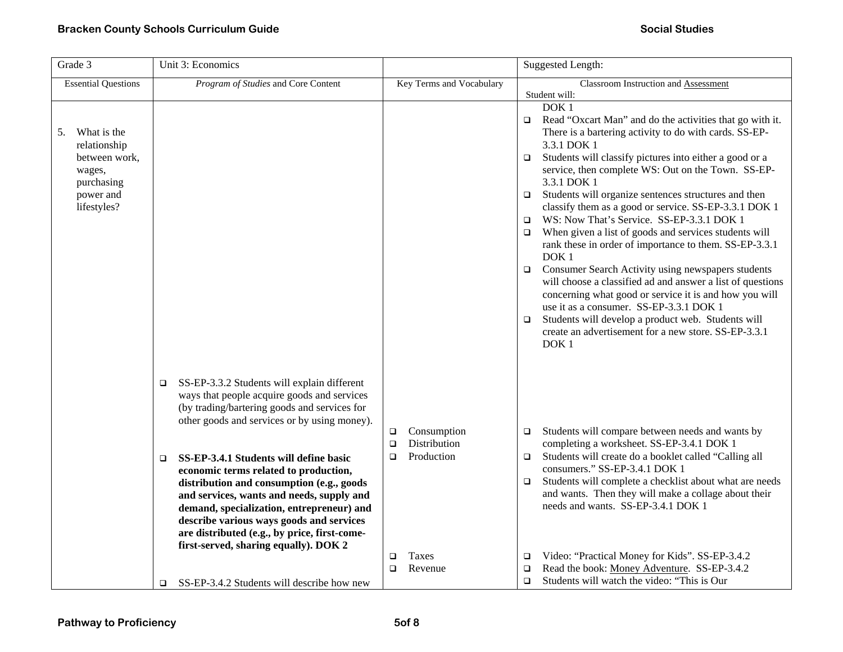| Grade 3                                                                                                | Unit 3: Economics                                                                                                                                                                                                                                                                                                                                                                                                                                                                                                                                                             |                                                                                  | Suggested Length:                                                                                                                                                                                                                                                                                                                                                                                                                                                                                                                                                                                                                                                                                                                                                                                                                                                                                                                                                                                                      |
|--------------------------------------------------------------------------------------------------------|-------------------------------------------------------------------------------------------------------------------------------------------------------------------------------------------------------------------------------------------------------------------------------------------------------------------------------------------------------------------------------------------------------------------------------------------------------------------------------------------------------------------------------------------------------------------------------|----------------------------------------------------------------------------------|------------------------------------------------------------------------------------------------------------------------------------------------------------------------------------------------------------------------------------------------------------------------------------------------------------------------------------------------------------------------------------------------------------------------------------------------------------------------------------------------------------------------------------------------------------------------------------------------------------------------------------------------------------------------------------------------------------------------------------------------------------------------------------------------------------------------------------------------------------------------------------------------------------------------------------------------------------------------------------------------------------------------|
| <b>Essential Questions</b>                                                                             | Program of Studies and Core Content                                                                                                                                                                                                                                                                                                                                                                                                                                                                                                                                           | Key Terms and Vocabulary                                                         | Classroom Instruction and Assessment<br>Student will:                                                                                                                                                                                                                                                                                                                                                                                                                                                                                                                                                                                                                                                                                                                                                                                                                                                                                                                                                                  |
| What is the<br>5.<br>relationship<br>between work,<br>wages,<br>purchasing<br>power and<br>lifestyles? |                                                                                                                                                                                                                                                                                                                                                                                                                                                                                                                                                                               |                                                                                  | DOK <sub>1</sub><br>Read "Oxcart Man" and do the activities that go with it.<br>$\Box$<br>There is a bartering activity to do with cards. SS-EP-<br>3.3.1 DOK 1<br>Students will classify pictures into either a good or a<br>$\Box$<br>service, then complete WS: Out on the Town. SS-EP-<br>3.3.1 DOK 1<br>Students will organize sentences structures and then<br>$\Box$<br>classify them as a good or service. SS-EP-3.3.1 DOK 1<br>WS: Now That's Service. SS-EP-3.3.1 DOK 1<br>$\Box$<br>When given a list of goods and services students will<br>$\Box$<br>rank these in order of importance to them. SS-EP-3.3.1<br>DOK <sub>1</sub><br>Consumer Search Activity using newspapers students<br>$\Box$<br>will choose a classified ad and answer a list of questions<br>concerning what good or service it is and how you will<br>use it as a consumer. SS-EP-3.3.1 DOK 1<br>Students will develop a product web. Students will<br>□<br>create an advertisement for a new store. SS-EP-3.3.1<br>DOK <sub>1</sub> |
|                                                                                                        | SS-EP-3.3.2 Students will explain different<br>$\Box$<br>ways that people acquire goods and services<br>(by trading/bartering goods and services for<br>other goods and services or by using money).<br>SS-EP-3.4.1 Students will define basic<br>$\Box$<br>economic terms related to production,<br>distribution and consumption (e.g., goods<br>and services, wants and needs, supply and<br>demand, specialization, entrepreneur) and<br>describe various ways goods and services<br>are distributed (e.g., by price, first-come-<br>first-served, sharing equally). DOK 2 | Consumption<br>$\Box$<br>Distribution<br>$\Box$<br>Production<br>□<br>Taxes<br>❏ | Students will compare between needs and wants by<br>$\Box$<br>completing a worksheet. SS-EP-3.4.1 DOK 1<br>Students will create do a booklet called "Calling all<br>$\Box$<br>consumers." SS-EP-3.4.1 DOK 1<br>Students will complete a checklist about what are needs<br>$\Box$<br>and wants. Then they will make a collage about their<br>needs and wants. SS-EP-3.4.1 DOK 1<br>Video: "Practical Money for Kids". SS-EP-3.4.2<br>$\Box$                                                                                                                                                                                                                                                                                                                                                                                                                                                                                                                                                                             |
|                                                                                                        | SS-EP-3.4.2 Students will describe how new<br>□                                                                                                                                                                                                                                                                                                                                                                                                                                                                                                                               | Revenue<br>$\Box$                                                                | Read the book: Money Adventure. SS-EP-3.4.2<br>$\Box$<br>Students will watch the video: "This is Our<br>$\Box$                                                                                                                                                                                                                                                                                                                                                                                                                                                                                                                                                                                                                                                                                                                                                                                                                                                                                                         |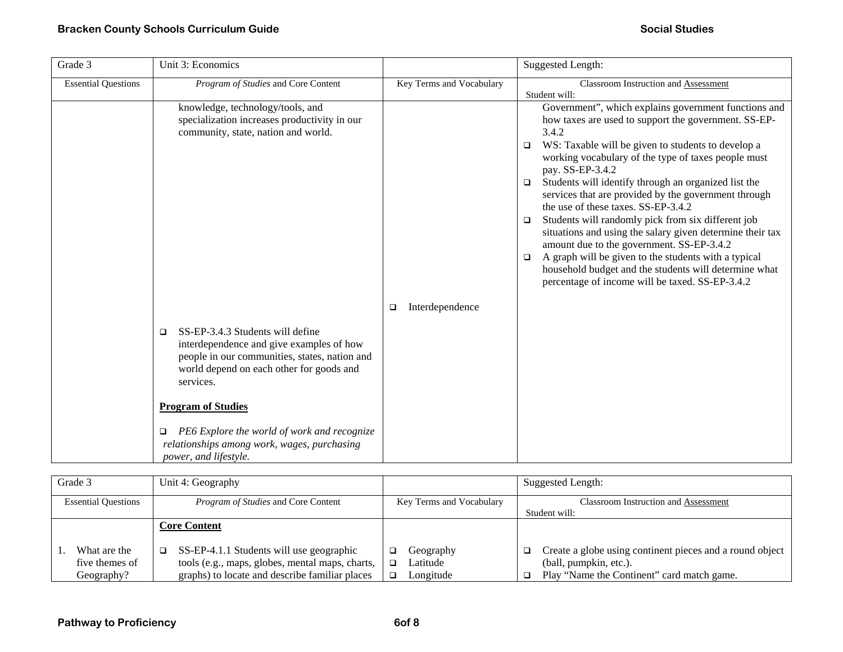## **Bracken County Schools Curriculum Guide**  Social Studies **Social Studies Social Studies Social Studies**

| Grade 3                    | Unit 3: Economics                                                                                                                                                                                                                                                                                                                                         |                           | <b>Suggested Length:</b>                                                                                                                                                                                                                                                                                                                                                                                                                                                                                                                                                                                                                                                                                                                                                                  |
|----------------------------|-----------------------------------------------------------------------------------------------------------------------------------------------------------------------------------------------------------------------------------------------------------------------------------------------------------------------------------------------------------|---------------------------|-------------------------------------------------------------------------------------------------------------------------------------------------------------------------------------------------------------------------------------------------------------------------------------------------------------------------------------------------------------------------------------------------------------------------------------------------------------------------------------------------------------------------------------------------------------------------------------------------------------------------------------------------------------------------------------------------------------------------------------------------------------------------------------------|
| <b>Essential Questions</b> | Program of Studies and Core Content                                                                                                                                                                                                                                                                                                                       | Key Terms and Vocabulary  | <b>Classroom Instruction and Assessment</b><br>Student will:                                                                                                                                                                                                                                                                                                                                                                                                                                                                                                                                                                                                                                                                                                                              |
|                            | knowledge, technology/tools, and<br>specialization increases productivity in our<br>community, state, nation and world.                                                                                                                                                                                                                                   |                           | Government", which explains government functions and<br>how taxes are used to support the government. SS-EP-<br>3.4.2<br>WS: Taxable will be given to students to develop a<br>$\Box$<br>working vocabulary of the type of taxes people must<br>pay. SS-EP-3.4.2<br>Students will identify through an organized list the<br>$\Box$<br>services that are provided by the government through<br>the use of these taxes. SS-EP-3.4.2<br>Students will randomly pick from six different job<br>$\Box$<br>situations and using the salary given determine their tax<br>amount due to the government. SS-EP-3.4.2<br>A graph will be given to the students with a typical<br>$\Box$<br>household budget and the students will determine what<br>percentage of income will be taxed. SS-EP-3.4.2 |
|                            | SS-EP-3.4.3 Students will define<br>$\Box$<br>interdependence and give examples of how<br>people in our communities, states, nation and<br>world depend on each other for goods and<br>services.<br><b>Program of Studies</b><br>PE6 Explore the world of work and recognize<br>□<br>relationships among work, wages, purchasing<br>power, and lifestyle. | Interdependence<br>$\Box$ |                                                                                                                                                                                                                                                                                                                                                                                                                                                                                                                                                                                                                                                                                                                                                                                           |

| Grade 3                    | Unit 4: Geography                               |                          | Suggested Length:                                              |
|----------------------------|-------------------------------------------------|--------------------------|----------------------------------------------------------------|
| <b>Essential Questions</b> | <i>Program of Studies</i> and Core Content      | Key Terms and Vocabulary | <b>Classroom Instruction and Assessment</b>                    |
|                            |                                                 |                          | Student will:                                                  |
|                            | <b>Core Content</b>                             |                          |                                                                |
| What are the               | SS-EP-4.1.1 Students will use geographic<br>□   | Geography                | Create a globe using continent pieces and a round object<br>o. |
| five themes of             | tools (e.g., maps, globes, mental maps, charts, | Latitude                 | (ball, pumpkin, etc.).                                         |
| Geography?                 | graphs) to locate and describe familiar places  | Longitude                | Play "Name the Continent" card match game.                     |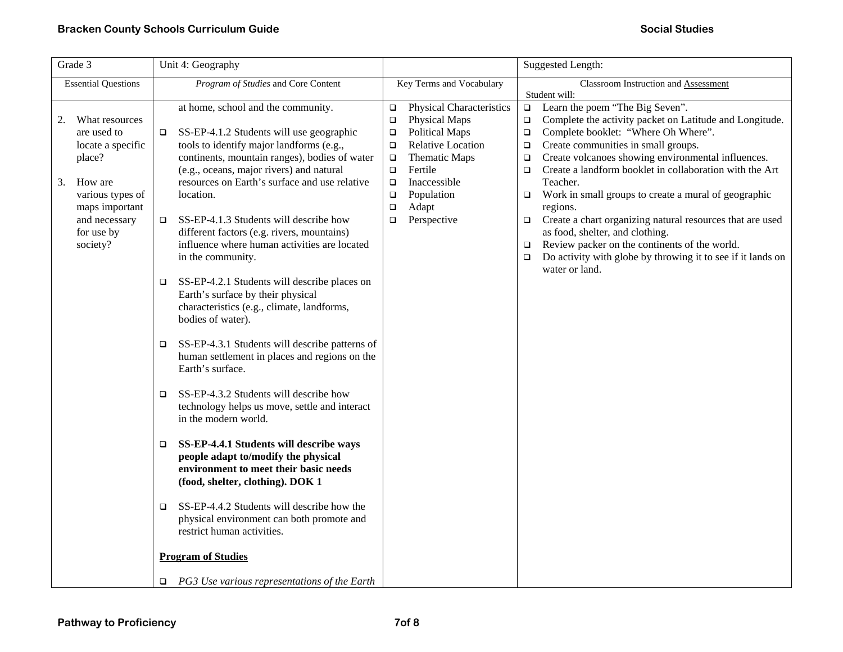| Grade 3                                                                                                                                                              | Unit 4: Geography                                                                                                                                                                                                                                                                                                                                                                                                                                                                                                                                                                                                                                                                                                                                                                                                                                                                                                                                                                                                                                                                                                                                                                                                      |                                                                                                                                                                                                                                                                                      | <b>Suggested Length:</b>                                                                                                                                                                                                                                                                                                                                                                                                                                                                                                                                                                                                                                                                                                         |
|----------------------------------------------------------------------------------------------------------------------------------------------------------------------|------------------------------------------------------------------------------------------------------------------------------------------------------------------------------------------------------------------------------------------------------------------------------------------------------------------------------------------------------------------------------------------------------------------------------------------------------------------------------------------------------------------------------------------------------------------------------------------------------------------------------------------------------------------------------------------------------------------------------------------------------------------------------------------------------------------------------------------------------------------------------------------------------------------------------------------------------------------------------------------------------------------------------------------------------------------------------------------------------------------------------------------------------------------------------------------------------------------------|--------------------------------------------------------------------------------------------------------------------------------------------------------------------------------------------------------------------------------------------------------------------------------------|----------------------------------------------------------------------------------------------------------------------------------------------------------------------------------------------------------------------------------------------------------------------------------------------------------------------------------------------------------------------------------------------------------------------------------------------------------------------------------------------------------------------------------------------------------------------------------------------------------------------------------------------------------------------------------------------------------------------------------|
| <b>Essential Questions</b>                                                                                                                                           | Program of Studies and Core Content                                                                                                                                                                                                                                                                                                                                                                                                                                                                                                                                                                                                                                                                                                                                                                                                                                                                                                                                                                                                                                                                                                                                                                                    | Key Terms and Vocabulary                                                                                                                                                                                                                                                             | Classroom Instruction and Assessment                                                                                                                                                                                                                                                                                                                                                                                                                                                                                                                                                                                                                                                                                             |
| What resources<br>2.<br>are used to<br>locate a specific<br>place?<br>How are<br>3.<br>various types of<br>maps important<br>and necessary<br>for use by<br>society? | at home, school and the community.<br>SS-EP-4.1.2 Students will use geographic<br>$\Box$<br>tools to identify major landforms (e.g.,<br>continents, mountain ranges), bodies of water<br>(e.g., oceans, major rivers) and natural<br>resources on Earth's surface and use relative<br>location.<br>SS-EP-4.1.3 Students will describe how<br>□<br>different factors (e.g. rivers, mountains)<br>influence where human activities are located<br>in the community.<br>SS-EP-4.2.1 Students will describe places on<br>❏<br>Earth's surface by their physical<br>characteristics (e.g., climate, landforms,<br>bodies of water).<br>SS-EP-4.3.1 Students will describe patterns of<br>□<br>human settlement in places and regions on the<br>Earth's surface.<br>SS-EP-4.3.2 Students will describe how<br>□<br>technology helps us move, settle and interact<br>in the modern world.<br>SS-EP-4.4.1 Students will describe ways<br>$\Box$<br>people adapt to/modify the physical<br>environment to meet their basic needs<br>(food, shelter, clothing). DOK 1<br>SS-EP-4.4.2 Students will describe how the<br>□<br>physical environment can both promote and<br>restrict human activities.<br><b>Program of Studies</b> | Physical Characteristics<br>$\Box$<br>Physical Maps<br>$\Box$<br><b>Political Maps</b><br>$\Box$<br><b>Relative Location</b><br>$\Box$<br>Thematic Maps<br>$\Box$<br>Fertile<br>$\Box$<br>Inaccessible<br>$\Box$<br>Population<br>$\Box$<br>Adapt<br>$\Box$<br>Perspective<br>$\Box$ | Student will:<br>Learn the poem "The Big Seven".<br>$\Box$<br>Complete the activity packet on Latitude and Longitude.<br>$\Box$<br>Complete booklet: "Where Oh Where".<br>$\Box$<br>Create communities in small groups.<br>$\Box$<br>Create volcanoes showing environmental influences.<br>$\Box$<br>Create a landform booklet in collaboration with the Art<br>$\Box$<br>Teacher.<br>Work in small groups to create a mural of geographic<br>$\Box$<br>regions.<br>Create a chart organizing natural resources that are used<br>$\Box$<br>as food, shelter, and clothing.<br>Review packer on the continents of the world.<br>$\Box$<br>Do activity with globe by throwing it to see if it lands on<br>$\Box$<br>water or land. |
|                                                                                                                                                                      | $\Box$ PG3 Use various representations of the Earth                                                                                                                                                                                                                                                                                                                                                                                                                                                                                                                                                                                                                                                                                                                                                                                                                                                                                                                                                                                                                                                                                                                                                                    |                                                                                                                                                                                                                                                                                      |                                                                                                                                                                                                                                                                                                                                                                                                                                                                                                                                                                                                                                                                                                                                  |